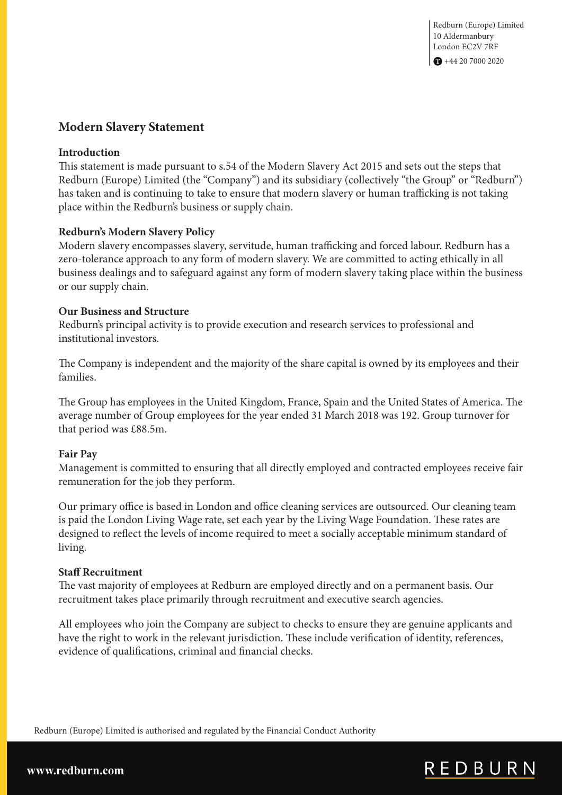## **Modern Slavery Statement**

#### **Introduction**

This statement is made pursuant to s.54 of the Modern Slavery Act 2015 and sets out the steps that Redburn (Europe) Limited (the "Company") and its subsidiary (collectively "the Group" or "Redburn") has taken and is continuing to take to ensure that modern slavery or human trafficking is not taking place within the Redburn's business or supply chain.

#### **Redburn's Modern Slavery Policy**

Modern slavery encompasses slavery, servitude, human trafficking and forced labour. Redburn has a zero-tolerance approach to any form of modern slavery. We are committed to acting ethically in all business dealings and to safeguard against any form of modern slavery taking place within the business or our supply chain.

#### **Our Business and Structure**

Redburn's principal activity is to provide execution and research services to professional and institutional investors.

The Company is independent and the majority of the share capital is owned by its employees and their families.

The Group has employees in the United Kingdom, France, Spain and the United States of America. The average number of Group employees for the year ended 31 March 2018 was 192. Group turnover for that period was £88.5m.

#### **Fair Pay**

Management is committed to ensuring that all directly employed and contracted employees receive fair remuneration for the job they perform.

Our primary office is based in London and office cleaning services are outsourced. Our cleaning team is paid the London Living Wage rate, set each year by the Living Wage Foundation. These rates are designed to reflect the levels of income required to meet a socially acceptable minimum standard of living.

#### **Staff Recruitment**

The vast majority of employees at Redburn are employed directly and on a permanent basis. Our recruitment takes place primarily through recruitment and executive search agencies.

All employees who join the Company are subject to checks to ensure they are genuine applicants and have the right to work in the relevant jurisdiction. These include verification of identity, references, evidence of qualifications, criminal and financial checks.

Redburn (Europe) Limited is authorised and regulated by the Financial Conduct Authority

# REDBURN